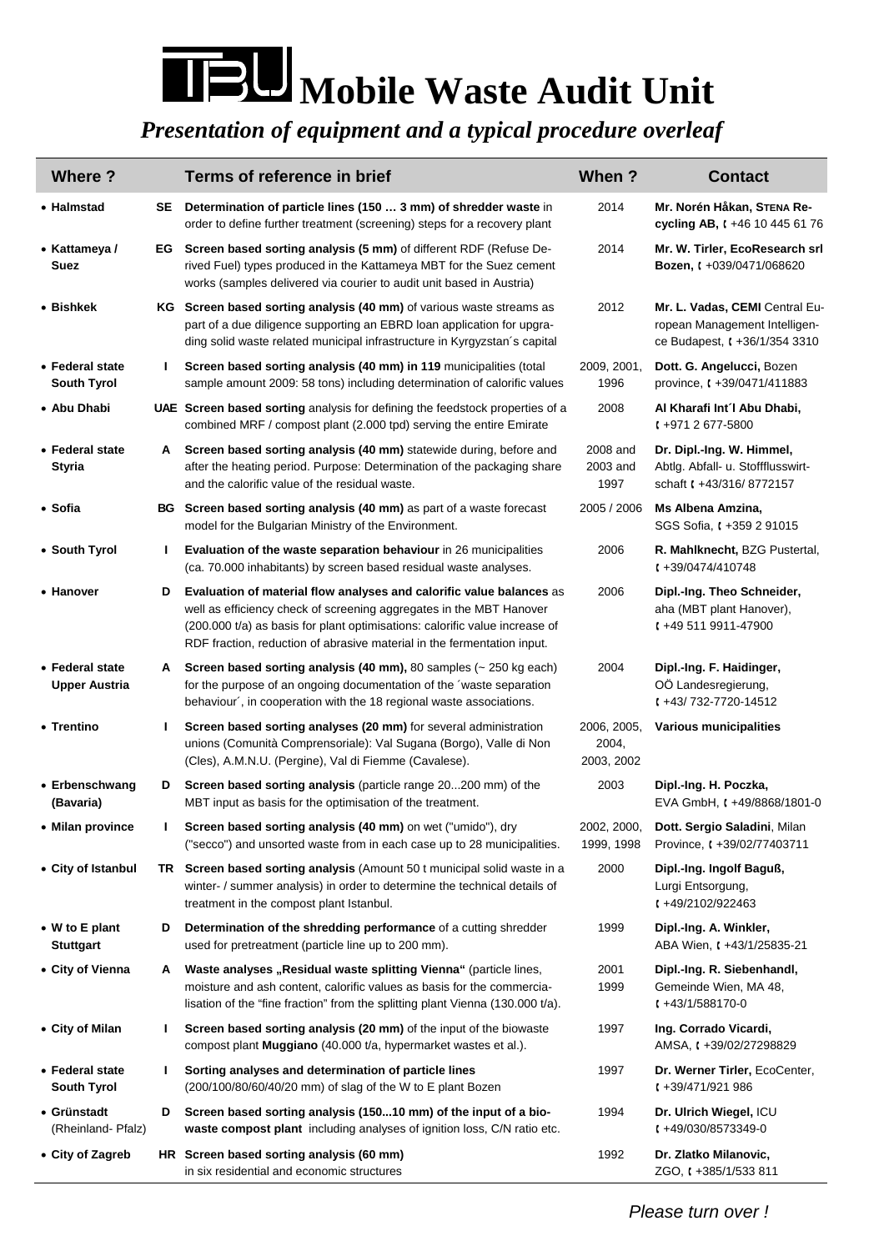## **Mobile Waste Audit Unit**

## *Presentation of equipment and a typical procedure overleaf*

| Where?                                  |    | Terms of reference in brief                                                                                                                                                                                                                                                                           | When?                              | <b>Contact</b>                                                                                   |
|-----------------------------------------|----|-------------------------------------------------------------------------------------------------------------------------------------------------------------------------------------------------------------------------------------------------------------------------------------------------------|------------------------------------|--------------------------------------------------------------------------------------------------|
| • Halmstad                              | SE | Determination of particle lines (150  3 mm) of shredder waste in<br>order to define further treatment (screening) steps for a recovery plant                                                                                                                                                          | 2014                               | Mr. Norén Håkan, STENA Re-<br>cycling AB, (+46 10 445 61 76                                      |
| • Kattameya /<br>Suez                   |    | <b>EG</b> Screen based sorting analysis (5 mm) of different RDF (Refuse De-<br>rived Fuel) types produced in the Kattameya MBT for the Suez cement<br>works (samples delivered via courier to audit unit based in Austria)                                                                            | 2014                               | Mr. W. Tirler, EcoResearch srl<br><b>Bozen, (+039/0471/068620)</b>                               |
| • Bishkek                               |    | KG Screen based sorting analysis (40 mm) of various waste streams as<br>part of a due diligence supporting an EBRD loan application for upgra-<br>ding solid waste related municipal infrastructure in Kyrgyzstan's capital                                                                           | 2012                               | Mr. L. Vadas, CEMI Central Eu-<br>ropean Management Intelligen-<br>ce Budapest, ( +36/1/354 3310 |
| • Federal state<br><b>South Tyrol</b>   | L  | Screen based sorting analysis (40 mm) in 119 municipalities (total<br>sample amount 2009: 58 tons) including determination of calorific values                                                                                                                                                        | 2009, 2001,<br>1996                | Dott. G. Angelucci, Bozen<br>province, $( +39/0471/411883)$                                      |
| • Abu Dhabi                             |    | UAE Screen based sorting analysis for defining the feedstock properties of a<br>combined MRF / compost plant (2.000 tpd) serving the entire Emirate                                                                                                                                                   | 2008                               | Al Kharafi Int'l Abu Dhabi,<br>$1 + 9712677 - 5800$                                              |
| • Federal state<br>Styria               | A  | Screen based sorting analysis (40 mm) statewide during, before and<br>after the heating period. Purpose: Determination of the packaging share<br>and the calorific value of the residual waste.                                                                                                       | 2008 and<br>2003 and<br>1997       | Dr. Dipl.-Ing. W. Himmel,<br>Abtlg. Abfall- u. Stoffflusswirt-<br>schaft t +43/316/8772157       |
| • Sofia                                 |    | BG Screen based sorting analysis (40 mm) as part of a waste forecast<br>model for the Bulgarian Ministry of the Environment.                                                                                                                                                                          | 2005 / 2006                        | Ms Albena Amzina,<br>SGS Sofia, (+359 2 91015                                                    |
| • South Tyrol                           | L  | Evaluation of the waste separation behaviour in 26 municipalities<br>(ca. 70.000 inhabitants) by screen based residual waste analyses.                                                                                                                                                                | 2006                               | R. Mahlknecht, BZG Pustertal,<br>$1 + 39/0474/410748$                                            |
| • Hanover                               | D  | Evaluation of material flow analyses and calorific value balances as<br>well as efficiency check of screening aggregates in the MBT Hanover<br>(200.000 t/a) as basis for plant optimisations: calorific value increase of<br>RDF fraction, reduction of abrasive material in the fermentation input. | 2006                               | Dipl.-Ing. Theo Schneider,<br>aha (MBT plant Hanover),<br>$1 + 495119911 - 47900$                |
| • Federal state<br><b>Upper Austria</b> | A  | Screen based sorting analysis (40 mm), 80 samples $($ $\sim$ 250 kg each)<br>for the purpose of an ongoing documentation of the 'waste separation<br>behaviour', in cooperation with the 18 regional waste associations.                                                                              | 2004                               | Dipl.-Ing. F. Haidinger,<br>OÖ Landesregierung,<br>$\binom{443}{732}$ -7720-14512                |
| • Trentino                              | L  | Screen based sorting analyses (20 mm) for several administration<br>unions (Comunità Comprensoriale): Val Sugana (Borgo), Valle di Non<br>(Cles), A.M.N.U. (Pergine), Val di Fiemme (Cavalese).                                                                                                       | 2006, 2005,<br>2004,<br>2003, 2002 | Various municipalities                                                                           |
| • Erbenschwang<br>(Bavaria)             | D  | Screen based sorting analysis (particle range 20200 mm) of the<br>MBT input as basis for the optimisation of the treatment.                                                                                                                                                                           | 2003                               | Dipl.-Ing. H. Poczka,<br>EVA GmbH, $t + 49/8868/1801 - 0$                                        |
| • Milan province                        | I. | Screen based sorting analysis (40 mm) on wet ("umido"), dry<br>("secco") and unsorted waste from in each case up to 28 municipalities.                                                                                                                                                                | 2002, 2000,<br>1999, 1998          | Dott. Sergio Saladini, Milan<br>Province, t +39/02/77403711                                      |
| • City of Istanbul                      |    | TR Screen based sorting analysis (Amount 50 t municipal solid waste in a<br>winter- / summer analysis) in order to determine the technical details of<br>treatment in the compost plant Istanbul.                                                                                                     | 2000                               | Dipl.-Ing. Ingolf Baguß,<br>Lurgi Entsorgung,<br>$1 + 49/2102/922463$                            |
| • W to E plant<br><b>Stuttgart</b>      | D  | Determination of the shredding performance of a cutting shredder<br>used for pretreatment (particle line up to 200 mm).                                                                                                                                                                               | 1999                               | Dipl.-Ing. A. Winkler,<br>ABA Wien, ( +43/1/25835-21                                             |
| • City of Vienna                        | A  | Waste analyses "Residual waste splitting Vienna" (particle lines,<br>moisture and ash content, calorific values as basis for the commercia-<br>lisation of the "fine fraction" from the splitting plant Vienna (130.000 t/a).                                                                         | 2001<br>1999                       | Dipl.-Ing. R. Siebenhandl,<br>Gemeinde Wien, MA 48,<br>$\left(1+43/1/588170-0\right)$            |
| • City of Milan                         | L  | Screen based sorting analysis (20 mm) of the input of the biowaste<br>compost plant Muggiano (40.000 t/a, hypermarket wastes et al.).                                                                                                                                                                 | 1997                               | Ing. Corrado Vicardi,<br>AMSA, t +39/02/27298829                                                 |
| • Federal state<br><b>South Tyrol</b>   | L  | Sorting analyses and determination of particle lines<br>(200/100/80/60/40/20 mm) of slag of the W to E plant Bozen                                                                                                                                                                                    | 1997                               | Dr. Werner Tirler, EcoCenter,<br>$1 + 39/471/921986$                                             |
| • Grünstadt<br>(Rheinland-Pfalz)        | D  | Screen based sorting analysis (15010 mm) of the input of a bio-<br>waste compost plant including analyses of ignition loss, C/N ratio etc.                                                                                                                                                            | 1994                               | Dr. Ulrich Wiegel, ICU<br>$1 + 49/030/8573349 - 0$                                               |
| • City of Zagreb                        |    | HR Screen based sorting analysis (60 mm)<br>in six residential and economic structures                                                                                                                                                                                                                | 1992                               | Dr. Zlatko Milanovic,<br>ZGO, t +385/1/533 811                                                   |

*Please turn over !*